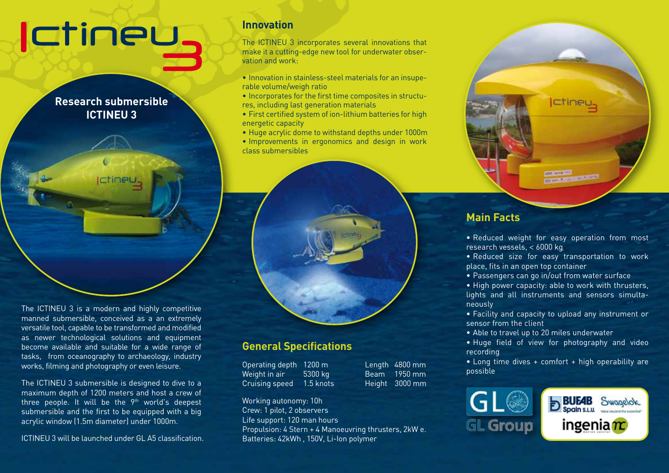# **Ictiney**

**Research submersible ICTINEU 3**

The ICTINEU 3 is a modern and highly competitive manned submersible, conceived as a an extremely versatile tool, capable to be transformed and modified as newer technological solutions and equipment become available and suitable for a wide range of tasks, from oceanography to archaeology, industry works, filming and photography or even leisure.

The ICTINEU 3 submersible is designed to dive to a maximum depth of 1200 meters and host a crew of three people. It will be the 9<sup>th</sup> world's deepest submersible and the first to be equipped with a big acrylic window (1.5m diameter) under 1000m.

ICTINEU 3 will be launched under GL A5 classification.

### **Innovation**

The ICTINEU 3 incorporates several innovations that make it a cutting-edge new tool for underwater observation and work:

- Innovation in stainless-steel materials for an insuperable volume/weigh ratio
- Incorporates for the first time composites in structures, including last generation materials
- First certified system of ion-lithium batteries for high energetic capacity
- Huge acrylic dome to withstand depths under 1000m
- Improvements in ergonomics and design in work class submersibles



### **General Specifications**

Operating depth 1200 m Length 4800 mm Weight in air 5300 kg Beam 1950 mm Cruising speed 1.5 knots Height 3000 mm

Working autonomy: 10h Crew: 1 pilot, 2 observers Life support: 120 man hours Propulsion: 4 Stern + 4 Manoeuvring thrusters, 2kW e. Batteries: 42kWh , 150V, Li-Ion polymer



### **Main Facts**

- Reduced weight for easy operation from most research vessels, < 6000 kg
- Reduced size for easy transportation to work place, fits in an open top container
- Passengers can go in/out from water surface
- High power capacity: able to work with thrusters, lights and all instruments and sensors simultaneously
- Facility and capacity to upload any instrument or sensor from the client
- Able to travel up to 20 miles underwater
- Huge field of view for photography and video recording
- Long time dives + comfort + high operability are possible